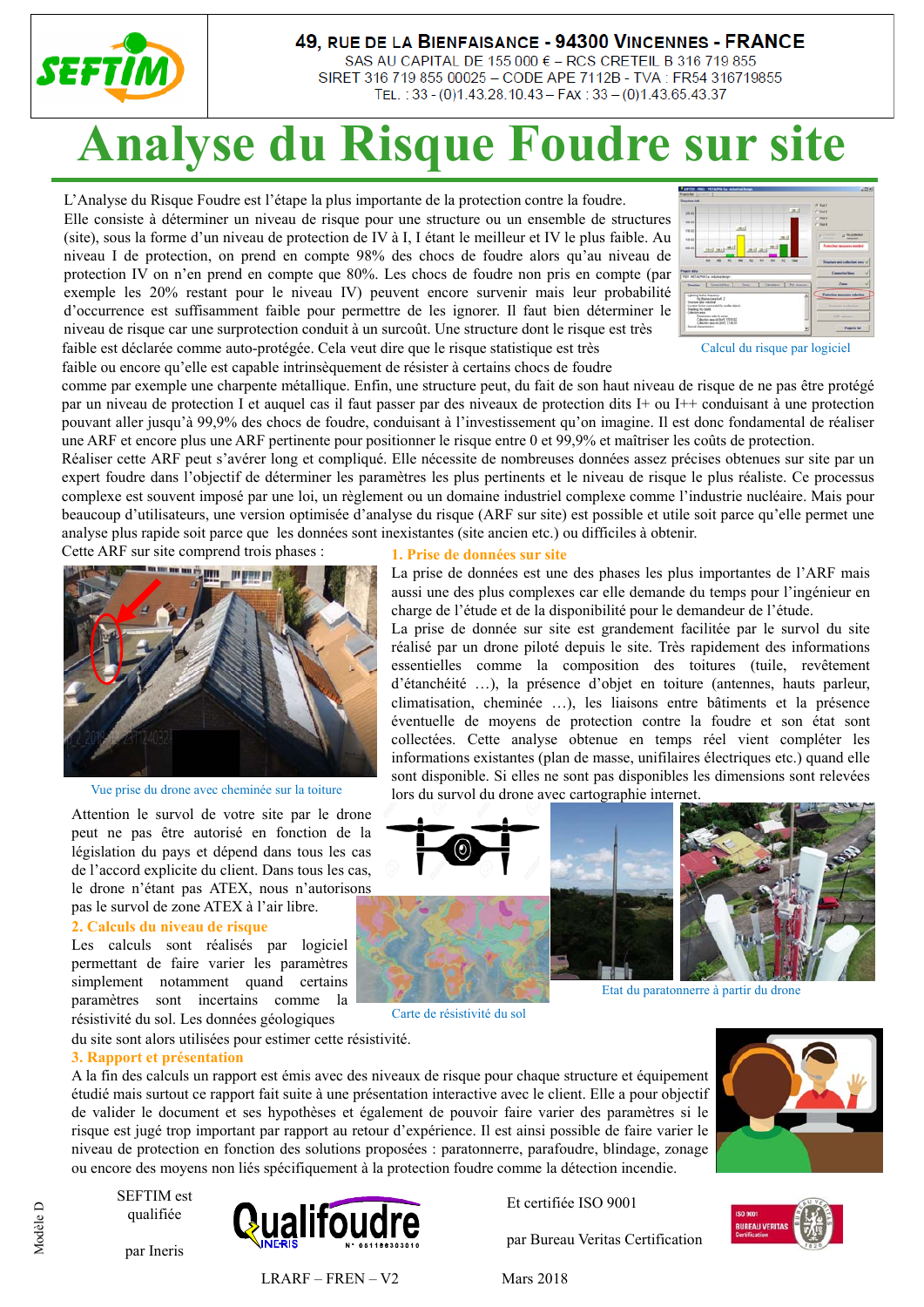

## 49, RUE DE LA BIENFAISANCE - 94300 VINCENNES - FRANCE

SAS AU CAPITAL DE 155 000 € - RCS CRETEIL B 316 719 855 SIRET 316 719 855 00025 - CODE APE 7112B - TVA : FR54 316719855 TEL.: 33 - (0)1.43.28.10.43 - FAX: 33 - (0)1.43.65.43.37

## **Analyse du Risque Foudre sur site**

L'Analyse du Risque Foudre est l'étape la plus importante de la protection contre la foudre. Elle consiste à déterminer un niveau de risque pour une structure ou un ensemble de structures (site), sous la forme d'un niveau de protection de IV à I, I étant le meilleur et IV le plus faible. Au niveau I de protection, on prend en compte 98% des chocs de foudre alors qu'au niveau de protection IV on n'en prend en compte que 80%. Les chocs de foudre non pris en compte (par exemple les 20% restant pour le niveau IV) peuvent encore survenir mais leur probabilité d'occurrence est suffisamment faible pour permettre de les ignorer. Il faut bien déterminer le niveau de risque car une surprotection conduit à un surcoût. Une structure dont le risque est très faible est déclarée comme auto-protégée. Cela veut dire que le risque statistique est très faible ou encore qu'elle est capable intrinsèquement de résister à certains chocs de foudre



Calcul du risque par logiciel

comme par exemple une charpente métallique. Enfin, une structure peut, du fait de son haut niveau de risque de ne pas être protégé par un niveau de protection I et auquel cas il faut passer par des niveaux de protection dits I+ ou I++ conduisant à une protection pouvant aller jusqu'à 99,9% des chocs de foudre, conduisant à l'investissement qu'on imagine. Il est donc fondamental de réaliser une ARF et encore plus une ARF pertinente pour positionner le risque entre 0 et 99,9% et maîtriser les coûts de protection.

Réaliser cette ARF peut s'avérer long et compliqué. Elle nécessite de nombreuses données assez précises obtenues sur site par un expert foudre dans l'objectif de déterminer les paramètres les plus pertinents et le niveau de risque le plus réaliste. Ce processus complexe est souvent imposé par une loi, un règlement ou un domaine industriel complexe comme l'industrie nucléaire. Mais pour beaucoup d'utilisateurs, une version optimisée d'analyse du risque (ARF sur site) est possible et utile soit parce qu'elle permet une analyse plus rapide soit parce que les données sont inexistantes (site ancien etc.) ou difficiles à obtenir.

Cette ARF sur site comprend trois phases :



Vue prise du drone avec cheminée sur la toiture

Attention le survol de votre site par le drone peut ne pas être autorisé en fonction de la législation du pays et dépend dans tous les cas de l'accord explicite du client. Dans tous les cas, le drone n'étant pas ATEX, nous n'autorisons pas le survol de zone ATEX à l'air libre.

#### **2. Calculs du niveau de risque**

Les calculs sont réalisés par logiciel permettant de faire varier les paramètres simplement notamment quand certains paramètres sont incertains comme la résistivité du sol. Les données géologiques

du site sont alors utilisées pour estimer cette résistivité.

#### **3. Rapport et présentation**

A la fin des calculs un rapport est émis avec des niveaux de risque pour chaque structure et équipement étudié mais surtout ce rapport fait suite à une présentation interactive avec le client. Elle a pour objectif de valider le document et ses hypothèses et également de pouvoir faire varier des paramètres si le risque est jugé trop important par rapport au retour d'expérience. Il est ainsi possible de faire varier le niveau de protection en fonction des solutions proposées : paratonnerre, parafoudre, blindage, zonage ou encore des moyens non liés spécifiquement à la protection foudre comme la détection incendie.

SEFTIM est qualifiée





**1. Prise de données sur site**

La prise de données est une des phases les plus importantes de l'ARF mais aussi une des plus complexes car elle demande du temps pour l'ingénieur en charge de l'étude et de la disponibilité pour le demandeur de l'étude.

La prise de donnée sur site est grandement facilitée par le survol du site réalisé par un drone piloté depuis le site. Très rapidement des informations essentielles comme la composition des toitures (tuile, revêtement d'étanchéité …), la présence d'objet en toiture (antennes, hauts parleur, climatisation, cheminée …), les liaisons entre bâtiments et la présence éventuelle de moyens de protection contre la foudre et son état sont collectées. Cette analyse obtenue en temps réel vient compléter les informations existantes (plan de masse, unifilaires électriques etc.) quand elle sont disponible. Si elles ne sont pas disponibles les dimensions sont relevées lors du survol du drone avec cartographie internet.



Carte de résistivité du sol







 $LRARF - FREN - V2$  Mars 2018

Et certifiée ISO 9001

par Bureau Veritas Certification